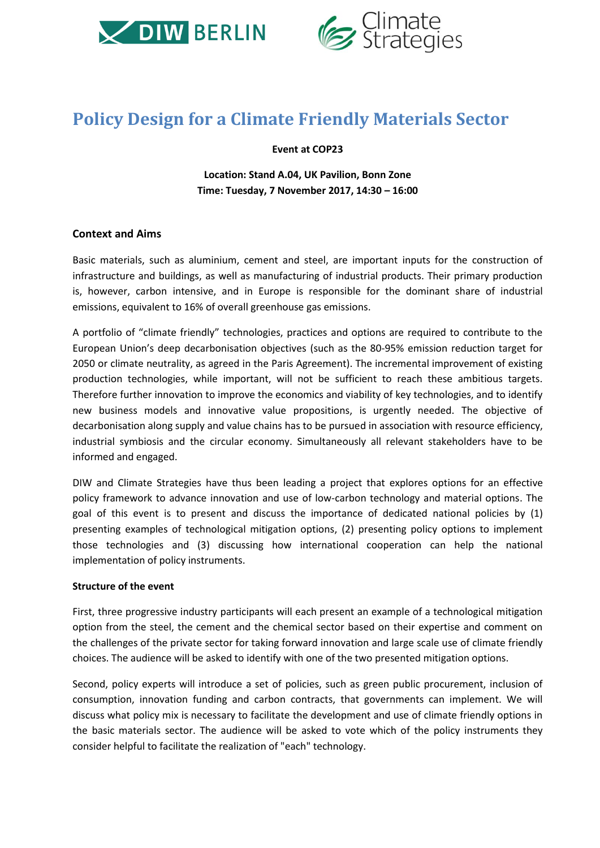



# **Policy Design for a Climate Friendly Materials Sector**

#### **Event at COP23**

**Location: Stand A.04, UK Pavilion, Bonn Zone Time: Tuesday, 7 November 2017, 14:30 – 16:00**

### **Context and Aims**

Basic materials, such as aluminium, cement and steel, are important inputs for the construction of infrastructure and buildings, as well as manufacturing of industrial products. Their primary production is, however, carbon intensive, and in Europe is responsible for the dominant share of industrial emissions, equivalent to 16% of overall greenhouse gas emissions.

A portfolio of "climate friendly" technologies, practices and options are required to contribute to the European Union's deep decarbonisation objectives (such as the 80‐95% emission reduction target for 2050 or climate neutrality, as agreed in the Paris Agreement). The incremental improvement of existing production technologies, while important, will not be sufficient to reach these ambitious targets. Therefore further innovation to improve the economics and viability of key technologies, and to identify new business models and innovative value propositions, is urgently needed. The objective of decarbonisation along supply and value chains has to be pursued in association with resource efficiency, industrial symbiosis and the circular economy. Simultaneously all relevant stakeholders have to be informed and engaged.

DIW and Climate Strategies have thus been leading a project that explores options for an effective policy framework to advance innovation and use of low‐carbon technology and material options. The goal of this event is to present and discuss the importance of dedicated national policies by (1) presenting examples of technological mitigation options, (2) presenting policy options to implement those technologies and (3) discussing how international cooperation can help the national implementation of policy instruments.

#### **Structure of the event**

First, three progressive industry participants will each present an example of a technological mitigation option from the steel, the cement and the chemical sector based on their expertise and comment on the challenges of the private sector for taking forward innovation and large scale use of climate friendly choices. The audience will be asked to identify with one of the two presented mitigation options.

Second, policy experts will introduce a set of policies, such as green public procurement, inclusion of consumption, innovation funding and carbon contracts, that governments can implement. We will discuss what policy mix is necessary to facilitate the development and use of climate friendly options in the basic materials sector. The audience will be asked to vote which of the policy instruments they consider helpful to facilitate the realization of "each" technology.